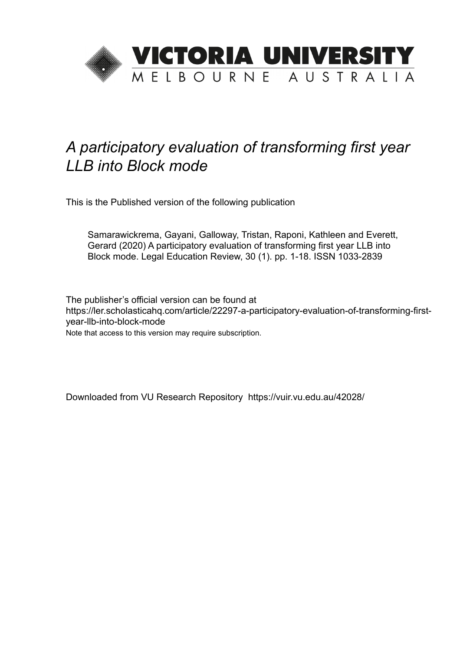

## *A participatory evaluation of transforming first year LLB into Block mode*

This is the Published version of the following publication

Samarawickrema, Gayani, Galloway, Tristan, Raponi, Kathleen and Everett, Gerard (2020) A participatory evaluation of transforming first year LLB into Block mode. Legal Education Review, 30 (1). pp. 1-18. ISSN 1033-2839

The publisher's official version can be found at https://ler.scholasticahq.com/article/22297-a-participatory-evaluation-of-transforming-firstyear-llb-into-block-mode Note that access to this version may require subscription.

Downloaded from VU Research Repository https://vuir.vu.edu.au/42028/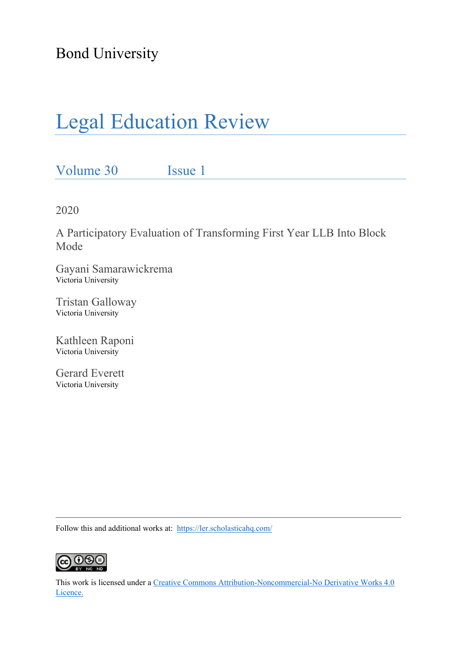Bond University

# Legal Education Review

Volume 30 Issue 1

2020

A Participatory Evaluation of Transforming First Year LLB Into Block Mode

Gayani Samarawickrema Victoria University

Tristan Galloway Victoria University

Kathleen Raponi Victoria University

Gerard Everett Victoria University

Follow this and additional works at: <https://ler.scholasticahq.com/>



This work is licensed under a [Creative Commons Attribution-Noncommercial-No Derivative Works 4.0](https://creativecommons.org/licenses/by/4.0/)  [Licence.](https://creativecommons.org/licenses/by/4.0/)

 $\_$  , and the state of the state of the state of the state of the state of the state of the state of the state of the state of the state of the state of the state of the state of the state of the state of the state of the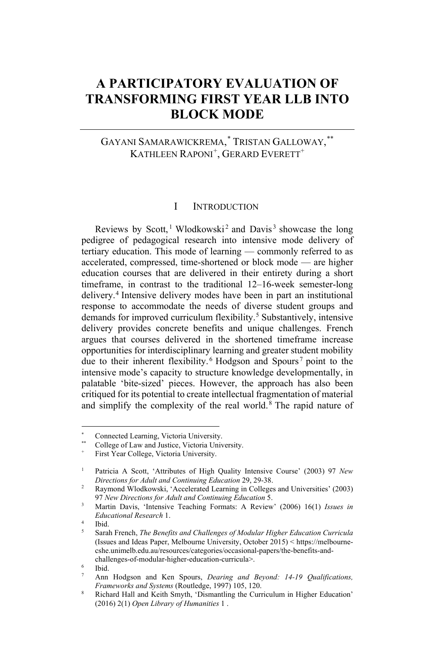### **A PARTICIPATORY EVALUATION OF TRANSFORMING FIRST YEAR LLB INTO BLOCK MODE**

#### GAYANI SAMARAWICKREMA, [\\*](#page-2-0) TRISTAN GALLOWAY, [\\*\\*](#page-2-1) KATHLEEN RAPONI<sup>[+](#page-2-2)</sup>, GERARD EVERETT<sup>+</sup>

#### I INTRODUCTION

Reviews by Scott,<sup>[1](#page-2-3)</sup> Wlodkowski<sup>[2](#page-2-4)</sup> and Davis<sup>[3](#page-2-5)</sup> showcase the long pedigree of pedagogical research into intensive mode delivery of tertiary education. This mode of learning — commonly referred to as accelerated, compressed, time-shortened or block mode — are higher education courses that are delivered in their entirety during a short timeframe, in contrast to the traditional 12–16-week semester-long delivery.[4](#page-2-6) Intensive delivery modes have been in part an institutional response to accommodate the needs of diverse student groups and demands for improved curriculum flexibility.<sup>[5](#page-2-7)</sup> Substantively, intensive delivery provides concrete benefits and unique challenges. French argues that courses delivered in the shortened timeframe increase opportunities for interdisciplinary learning and greater student mobility due to their inherent flexibility. [6](#page-2-8) Hodgson and Spours [7](#page-2-9) point to the intensive mode's capacity to structure knowledge developmentally, in palatable 'bite-sized' pieces. However, the approach has also been critiqued for its potential to create intellectual fragmentation of material and simplify the complexity of the real world. [8](#page-2-10) The rapid nature of

<span id="page-2-0"></span>Connected Learning, Victoria University.

<span id="page-2-2"></span><span id="page-2-1"></span>College of Law and Justice, Victoria University.

First Year College, Victoria University.

<span id="page-2-3"></span><sup>1</sup> Patricia A Scott, 'Attributes of High Quality Intensive Course' (2003) 97 *New* 

<span id="page-2-4"></span><sup>&</sup>lt;sup>2</sup> Raymond Wlodkowski, 'Accelerated Learning in Colleges and Universities' (2003) 97 *New Directions for Adult and Continuing Education* 5.

<span id="page-2-5"></span><sup>3</sup> Martin Davis, 'Intensive Teaching Formats: A Review' (2006) 16(1) *Issues in Educational Research* 1.

<span id="page-2-6"></span><sup>4</sup> Ibid.

<span id="page-2-7"></span><sup>5</sup> Sarah French, *The Benefits and Challenges of Modular Higher Education Curricula* (Issues and Ideas Paper, Melbourne University, October 2015) < https://melbournecshe.unimelb.edu.au/resources/categories/occasional-papers/the-benefits-andchallenges-of-modular-higher-education-curricula>.

<span id="page-2-9"></span><span id="page-2-8"></span>Ibid.

<sup>7</sup> Ann Hodgson and Ken Spours, *Dearing and Beyond: 14-19 Qualifications, Frameworks and Systems* (Routledge, 1997) 105, 120.

<span id="page-2-10"></span><sup>8</sup> Richard Hall and Keith Smyth, 'Dismantling the Curriculum in Higher Education' (2016) 2(1) *Open Library of Humanities* 1 .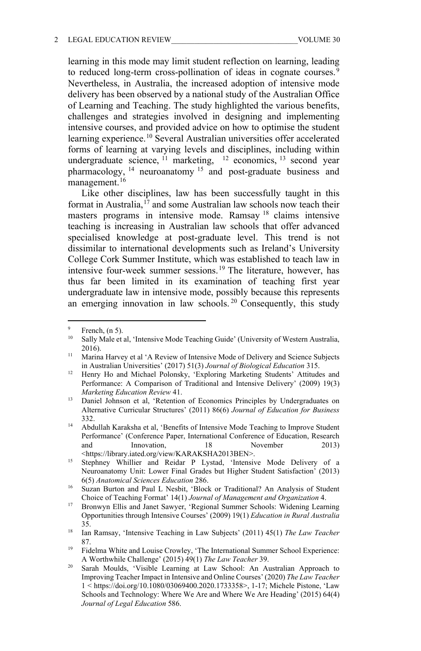learning in this mode may limit student reflection on learning, leading to reduced long-term cross-pollination of ideas in cognate courses.<sup>[9](#page-3-0)</sup> Nevertheless, in Australia, the increased adoption of intensive mode delivery has been observed by a national study of the Australian Office of Learning and Teaching. The study highlighted the various benefits, challenges and strategies involved in designing and implementing intensive courses, and provided advice on how to optimise the student learning experience.<sup>[10](#page-3-1)</sup> Several Australian universities offer accelerated forms of learning at varying levels and disciplines, including within undergraduate science,  $^{11}$  $^{11}$  $^{11}$  marketing,  $^{12}$  $^{12}$  $^{12}$  economics,  $^{13}$  $^{13}$  $^{13}$  second year pharmacology,  $14$  neuroanatomy  $15$  and post-graduate business and management.<sup>[16](#page-3-7)</sup>

Like other disciplines, law has been successfully taught in this format in Australia,[17](#page-3-8) and some Australian law schools now teach their masters programs in intensive mode. Ramsay [18](#page-3-9) claims intensive teaching is increasing in Australian law schools that offer advanced specialised knowledge at post-graduate level. This trend is not dissimilar to international developments such as Ireland's University College Cork Summer Institute, which was established to teach law in intensive four-week summer sessions.<sup>[19](#page-3-10)</sup> The literature, however, has thus far been limited in its examination of teaching first year undergraduate law in intensive mode, possibly because this represents an emerging innovation in law schools. [20](#page-3-11) Consequently, this study

<span id="page-3-1"></span><span id="page-3-0"></span> $\frac{9}{10}$  French, (n 5).

Sally Male et al, 'Intensive Mode Teaching Guide' (University of Western Australia, 2016).

<span id="page-3-2"></span><sup>&</sup>lt;sup>11</sup> Marina Harvey et al 'A Review of Intensive Mode of Delivery and Science Subjects in Australian Universities' (2017) 51(3) *Journal of Biological Education* 315.

<span id="page-3-3"></span><sup>&</sup>lt;sup>12</sup> Henry Ho and Michael Polonsky, 'Exploring Marketing Students' Attitudes and Performance: A Comparison of Traditional and Intensive Delivery' (2009) 19(3) *Marketing Education Review* 41.

<span id="page-3-4"></span><sup>&</sup>lt;sup>13</sup> Daniel Johnson et al, 'Retention of Economics Principles by Undergraduates on Alternative Curricular Structures' (2011) 86(6) *Journal of Education for Business*  332.

<span id="page-3-5"></span><sup>14</sup> Abdullah Karaksha et al, 'Benefits of Intensive Mode Teaching to Improve Student Performance' (Conference Paper, International Conference of Education, Research and Innovation, 18 November 2013) <https://library.iated.org/view/KARAKSHA2013BEN>.

<span id="page-3-6"></span><sup>&</sup>lt;sup>15</sup> Stephney Whillier and Reidar P Lystad, 'Intensive Mode Delivery of a Neuroanatomy Unit: Lower Final Grades but Higher Student Satisfaction' (2013) 6(5) *Anatomical Sciences Education* 286.

<span id="page-3-7"></span><sup>&</sup>lt;sup>16</sup> Suzan Burton and Paul L Nesbit, 'Block or Traditional? An Analysis of Student Choice of Teaching Format' 14(1) *Journal of Management and Organization* 4.

<span id="page-3-8"></span><sup>17</sup> Bronwyn Ellis and Janet Sawyer, 'Regional Summer Schools: Widening Learning Opportunities through Intensive Courses' (2009) 19(1) *Education in Rural Australia* 35.

<span id="page-3-9"></span><sup>18</sup> Ian Ramsay, 'Intensive Teaching in Law Subjects' (2011) 45(1) *The Law Teacher*  87.

<span id="page-3-10"></span><sup>&</sup>lt;sup>19</sup> Fidelma White and Louise Crowley, 'The International Summer School Experience: A Worthwhile Challenge' (2015) 49(1) *The Law Teacher* 39.

<span id="page-3-11"></span><sup>&</sup>lt;sup>20</sup> Sarah Moulds, 'Visible Learning at Law School: An Australian Approach to Improving Teacher Impact in Intensive and Online Courses' (2020) *The Law Teacher* 1 < https://doi.org/10.1080/03069400.2020.1733358>, 1-17; Michele Pistone, 'Law Schools and Technology: Where We Are and Where We Are Heading' (2015) 64(4) *Journal of Legal Education* 586.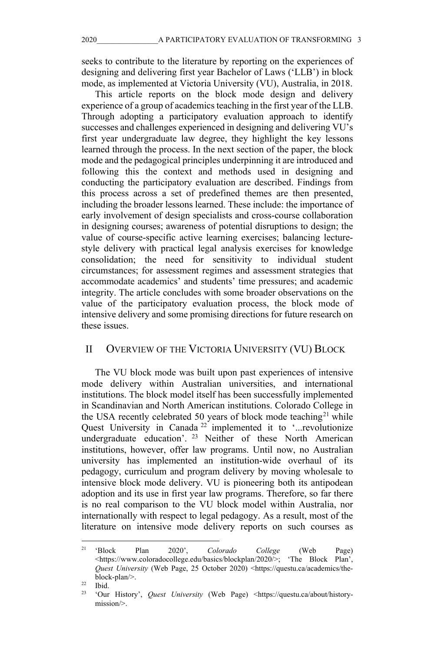seeks to contribute to the literature by reporting on the experiences of designing and delivering first year Bachelor of Laws ('LLB') in block mode, as implemented at Victoria University (VU), Australia, in 2018.

This article reports on the block mode design and delivery experience of a group of academics teaching in the first year of the LLB. Through adopting a participatory evaluation approach to identify successes and challenges experienced in designing and delivering VU's first year undergraduate law degree, they highlight the key lessons learned through the process. In the next section of the paper, the block mode and the pedagogical principles underpinning it are introduced and following this the context and methods used in designing and conducting the participatory evaluation are described. Findings from this process across a set of predefined themes are then presented, including the broader lessons learned. These include: the importance of early involvement of design specialists and cross-course collaboration in designing courses; awareness of potential disruptions to design; the value of course-specific active learning exercises; balancing lecturestyle delivery with practical legal analysis exercises for knowledge consolidation; the need for sensitivity to individual student circumstances; for assessment regimes and assessment strategies that accommodate academics' and students' time pressures; and academic integrity. The article concludes with some broader observations on the value of the participatory evaluation process, the block mode of intensive delivery and some promising directions for future research on these issues.

#### II OVERVIEW OF THE VICTORIA UNIVERSITY (VU) BLOCK

The VU block mode was built upon past experiences of intensive mode delivery within Australian universities, and international institutions. The block model itself has been successfully implemented in Scandinavian and North American institutions. Colorado College in the USA recently celebrated 50 years of block mode teaching<sup>[21](#page-4-0)</sup> while Quest University in Canada<sup>[22](#page-4-1)</sup> implemented it to '...revolutionize undergraduate education'. <sup>[23](#page-4-2)</sup> Neither of these North American institutions, however, offer law programs. Until now, no Australian university has implemented an institution-wide overhaul of its pedagogy, curriculum and program delivery by moving wholesale to intensive block mode delivery. VU is pioneering both its antipodean adoption and its use in first year law programs. Therefore, so far there is no real comparison to the VU block model within Australia, nor internationally with respect to legal pedagogy. As a result, most of the literature on intensive mode delivery reports on such courses as

<span id="page-4-0"></span><sup>21</sup> 'Block Plan 2020', *Colorado College* (Web Page) <https://www.coloradocollege.edu/basics/blockplan/2020/>; 'The Block Plan', *Quest University* (Web Page, 25 October 2020) <https://questu.ca/academics/theblock-plan/>.

<span id="page-4-2"></span><span id="page-4-1"></span> $\frac{22}{23}$  Ibid.

<sup>23</sup> 'Our History', *Quest University* (Web Page) <https://questu.ca/about/historymission/>.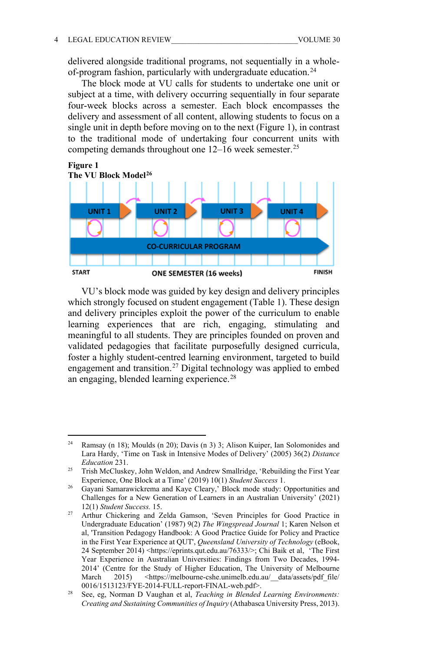delivered alongside traditional programs, not sequentially in a wholeof-program fashion, particularly with undergraduate education.[24](#page-5-0)

The block mode at VU calls for students to undertake one unit or subject at a time, with delivery occurring sequentially in four separate four-week blocks across a semester. Each block encompasses the delivery and assessment of all content, allowing students to focus on a single unit in depth before moving on to the next (Figure 1), in contrast to the traditional mode of undertaking four concurrent units with competing demands throughout one 12–16 week semester.<sup>[25](#page-5-1)</sup>



VU's block mode was guided by key design and delivery principles which strongly focused on student engagement (Table 1). These design and delivery principles exploit the power of the curriculum to enable learning experiences that are rich, engaging, stimulating and meaningful to all students. They are principles founded on proven and validated pedagogies that facilitate purposefully designed curricula, foster a highly student-centred learning environment, targeted to build engagement and transition.[27](#page-5-3) Digital technology was applied to embed an engaging, blended learning experience.<sup>[28](#page-5-4)</sup>

<span id="page-5-0"></span><sup>&</sup>lt;sup>24</sup> Ramsay (n 18); Moulds (n 20); Davis (n 3) 3; Alison Kuiper, Ian Solomonides and Lara Hardy, 'Time on Task in Intensive Modes of Delivery' (2005) 36(2) *Distance Education* 231.

<span id="page-5-1"></span><sup>&</sup>lt;sup>25</sup> Trish McCluskey, John Weldon, and Andrew Smallridge, 'Rebuilding the First Year Experience, One Block at a Time' (2019) 10(1) *Student Success* 1.

<span id="page-5-2"></span><sup>&</sup>lt;sup>26</sup> Gayani Samarawickrema and Kaye Cleary,' Block mode study: Opportunities and Challenges for a New Generation of Learners in an Australian University' (2021) 12(1) *Student Success.* 15.

<span id="page-5-3"></span><sup>27</sup> Arthur Chickering and Zelda Gamson, 'Seven Principles for Good Practice in Undergraduate Education' (1987) 9(2) *The Wingspread Journal* 1; Karen Nelson et al, 'Transition Pedagogy Handbook: A Good Practice Guide for Policy and Practice in the First Year Experience at QUT', *Queensland University of Technology* (eBook, 24 September 2014) <https://eprints.qut.edu.au/76333/>; Chi Baik et al, 'The First Year Experience in Australian Universities: Findings from Two Decades, 1994- 2014' (Centre for the Study of Higher Education, The University of Melbourne March 2015) <https://melbourne-cshe.unimelb.edu.au/\_\_data/assets/pdf\_file/ 0016/1513123/FYE-2014-FULL-report-FINAL-web.pdf>. 28 See, eg, Norman D Vaughan et al, *Teaching in Blended Learning Environments:* 

<span id="page-5-4"></span>*Creating and Sustaining Communities of Inquiry* (Athabasca University Press, 2013).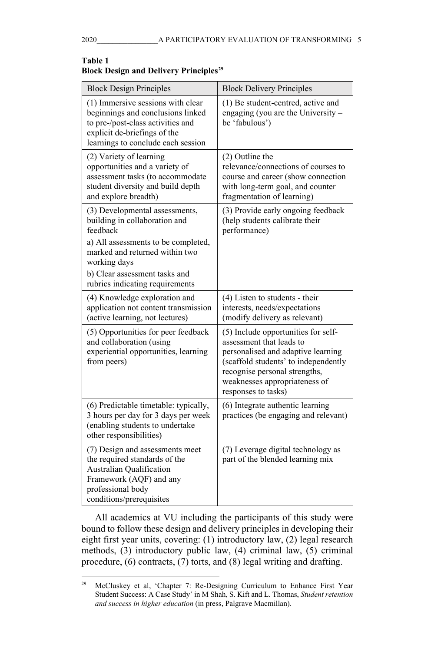| <b>Block Design Principles</b>                                                                                                                                                    | <b>Block Delivery Principles</b>                                                                                                                                                                                                       |
|-----------------------------------------------------------------------------------------------------------------------------------------------------------------------------------|----------------------------------------------------------------------------------------------------------------------------------------------------------------------------------------------------------------------------------------|
| (1) Immersive sessions with clear<br>beginnings and conclusions linked<br>to pre-/post-class activities and<br>explicit de-briefings of the<br>learnings to conclude each session | (1) Be student-centred, active and<br>engaging (you are the University -<br>be 'fabulous')                                                                                                                                             |
| (2) Variety of learning<br>opportunities and a variety of<br>assessment tasks (to accommodate<br>student diversity and build depth<br>and explore breadth)                        | (2) Outline the<br>relevance/connections of courses to<br>course and career (show connection<br>with long-term goal, and counter<br>fragmentation of learning)                                                                         |
| (3) Developmental assessments,<br>building in collaboration and<br>feedback<br>a) All assessments to be completed,                                                                | (3) Provide early ongoing feedback<br>(help students calibrate their<br>performance)                                                                                                                                                   |
| marked and returned within two<br>working days                                                                                                                                    |                                                                                                                                                                                                                                        |
| b) Clear assessment tasks and<br>rubrics indicating requirements                                                                                                                  |                                                                                                                                                                                                                                        |
| (4) Knowledge exploration and<br>application not content transmission<br>(active learning, not lectures)                                                                          | (4) Listen to students - their<br>interests, needs/expectations<br>(modify delivery as relevant)                                                                                                                                       |
| (5) Opportunities for peer feedback<br>and collaboration (using<br>experiential opportunities, learning<br>from peers)                                                            | (5) Include opportunities for self-<br>assessment that leads to<br>personalised and adaptive learning<br>(scaffold students' to independently<br>recognise personal strengths,<br>weaknesses appropriateness of<br>responses to tasks) |
| (6) Predictable timetable: typically,<br>3 hours per day for 3 days per week<br>(enabling students to undertake<br>other responsibilities)                                        | (6) Integrate authentic learning<br>practices (be engaging and relevant)                                                                                                                                                               |
| (7) Design and assessments meet<br>the required standards of the<br>Australian Qualification<br>Framework (AQF) and any<br>professional body<br>conditions/prerequisites          | (7) Leverage digital technology as<br>part of the blended learning mix                                                                                                                                                                 |

#### **Table 1 Block Design and Delivery Principles[29](#page-6-0)**

All academics at VU including the participants of this study were bound to follow these design and delivery principles in developing their eight first year units, covering: (1) introductory law, (2) legal research methods, (3) introductory public law, (4) criminal law, (5) criminal procedure, (6) contracts, (7) torts, and (8) legal writing and drafting.

<span id="page-6-0"></span><sup>&</sup>lt;sup>29</sup> McCluskey et al, 'Chapter 7: Re-Designing Curriculum to Enhance First Year Student Success: A Case Study' in M Shah, S. Kift and L. Thomas, *Student retention and success in higher education* (in press, Palgrave Macmillan).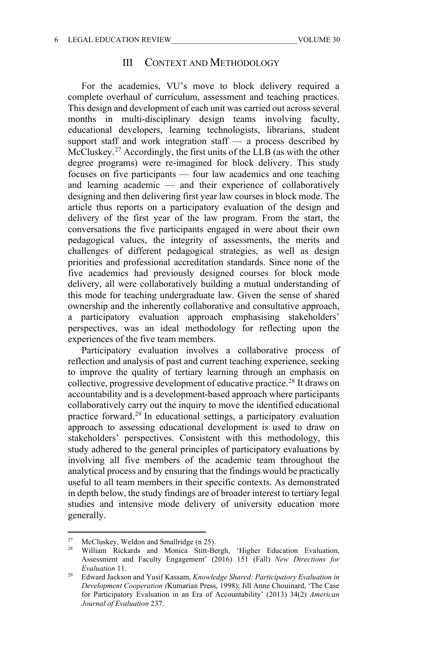#### III CONTEXT AND METHODOLOGY

For the academics, VU's move to block delivery required a complete overhaul of curriculum, assessment and teaching practices. This design and development of each unit was carried out across several months in multi-disciplinary design teams involving faculty, educational developers, learning technologists, librarians, student support staff and work integration staff  $-$  a process described by McCluskey.<sup>[27](#page-7-0)</sup> Accordingly, the first units of the LLB (as with the other degree programs) were re-imagined for block delivery. This study focuses on five participants — four law academics and one teaching and learning academic — and their experience of collaboratively designing and then delivering first year law courses in block mode. The article thus reports on a participatory evaluation of the design and delivery of the first year of the law program. From the start, the conversations the five participants engaged in were about their own pedagogical values, the integrity of assessments, the merits and challenges of different pedagogical strategies, as well as design priorities and professional accreditation standards. Since none of the five academics had previously designed courses for block mode delivery, all were collaboratively building a mutual understanding of this mode for teaching undergraduate law. Given the sense of shared ownership and the inherently collaborative and consultative approach, a participatory evaluation approach emphasising stakeholders' perspectives, was an ideal methodology for reflecting upon the experiences of the five team members.

Participatory evaluation involves a collaborative process of reflection and analysis of past and current teaching experience, seeking to improve the quality of tertiary learning through an emphasis on collective, progressive development of educative practice. [28](#page-7-1) It draws on accountability and is a development-based approach where participants collaboratively carry out the inquiry to move the identified educational practice forward. [29](#page-7-2) In educational settings, a participatory evaluation approach to assessing educational development is used to draw on stakeholders' perspectives. Consistent with this methodology, this study adhered to the general principles of participatory evaluations by involving all five members of the academic team throughout the analytical process and by ensuring that the findings would be practically useful to all team members in their specific contexts. As demonstrated in depth below, the study findings are of broader interest to tertiary legal studies and intensive mode delivery of university education more generally.

<span id="page-7-1"></span><span id="page-7-0"></span><sup>&</sup>lt;sup>27</sup> McCluskey, Weldon and Smallridge (n 25).

William Rickards and Monica Stitt-Bergh, 'Higher Education Evaluation, Assessment and Faculty Engagement' (2016) 151 (Fall) *New Directions for Evaluation* 11.

<span id="page-7-2"></span><sup>29</sup> Edward Jackson and Yusif Kassam, *Knowledge Shared: Participatory Evaluation in Development Cooperation (*Kumarian Press, 1998); Jill Anne Chouinard, 'The Case for Participatory Evaluation in an Era of Accountability' (2013) 34(2) *American Journal of Evaluation* 237.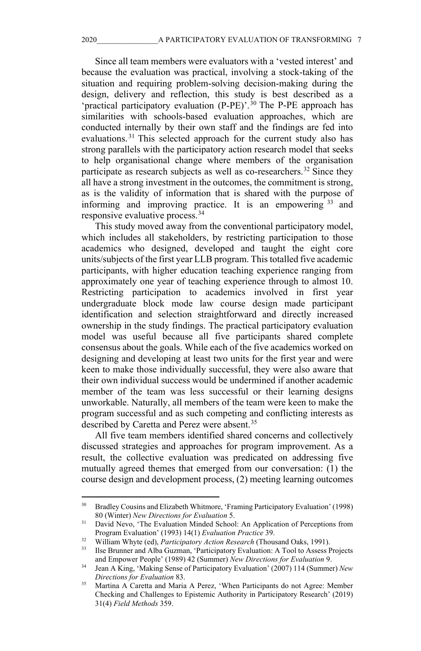Since all team members were evaluators with a 'vested interest' and because the evaluation was practical, involving a stock-taking of the situation and requiring problem-solving decision-making during the design, delivery and reflection, this study is best described as a 'practical participatory evaluation (P-PE)'. [30](#page-8-0) The P-PE approach has similarities with schools-based evaluation approaches, which are conducted internally by their own staff and the findings are fed into evaluations. [31](#page-8-1) This selected approach for the current study also has strong parallels with the participatory action research model that seeks to help organisational change where members of the organisation participate as research subjects as well as co-researchers.<sup>[32](#page-8-2)</sup> Since they all have a strong investment in the outcomes, the commitment is strong, as is the validity of information that is shared with the purpose of informing and improving practice. It is an empowering  $33$  and responsive evaluative process.[34](#page-8-4)

This study moved away from the conventional participatory model, which includes all stakeholders, by restricting participation to those academics who designed, developed and taught the eight core units/subjects of the first year LLB program. This totalled five academic participants, with higher education teaching experience ranging from approximately one year of teaching experience through to almost 10. Restricting participation to academics involved in first year undergraduate block mode law course design made participant identification and selection straightforward and directly increased ownership in the study findings. The practical participatory evaluation model was useful because all five participants shared complete consensus about the goals. While each of the five academics worked on designing and developing at least two units for the first year and were keen to make those individually successful, they were also aware that their own individual success would be undermined if another academic member of the team was less successful or their learning designs unworkable. Naturally, all members of the team were keen to make the program successful and as such competing and conflicting interests as described by Caretta and Perez were absent.<sup>[35](#page-8-5)</sup>

All five team members identified shared concerns and collectively discussed strategies and approaches for program improvement. As a result, the collective evaluation was predicated on addressing five mutually agreed themes that emerged from our conversation: (1) the course design and development process, (2) meeting learning outcomes

<span id="page-8-0"></span><sup>&</sup>lt;sup>30</sup> Bradley Cousins and Elizabeth Whitmore, 'Framing Participatory Evaluation' (1998) 80 (Winter) *New Directions for Evaluation* 5.

<span id="page-8-1"></span><sup>&</sup>lt;sup>31</sup> David Nevo, 'The Evaluation Minded School: An Application of Perceptions from Program Evaluation' (1993) 14(1) *Evaluation Practice* 39.

<span id="page-8-2"></span><sup>&</sup>lt;sup>32</sup> William Whyte (ed), *Participatory Action Research* (Thousand Oaks, 1991).

<span id="page-8-3"></span><sup>33</sup> Ilse Brunner and Alba Guzman, 'Participatory Evaluation: A Tool to Assess Projects and Empower People' (1989) 42 (Summer) *New Directions for Evaluation* 9.

<span id="page-8-4"></span><sup>34</sup> Jean A King, 'Making Sense of Participatory Evaluation' (2007) 114 (Summer) *New Directions for Evaluation* 83.

<span id="page-8-5"></span><sup>&</sup>lt;sup>35</sup> Martina A Caretta and Maria A Perez, 'When Participants do not Agree: Member Checking and Challenges to Epistemic Authority in Participatory Research' (2019) 31(4) *Field Methods* 359.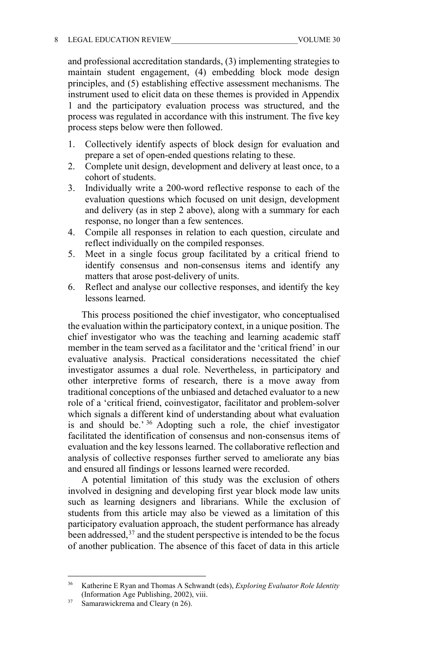and professional accreditation standards, (3) implementing strategies to maintain student engagement, (4) embedding block mode design principles, and (5) establishing effective assessment mechanisms. The instrument used to elicit data on these themes is provided in Appendix 1 and the participatory evaluation process was structured, and the process was regulated in accordance with this instrument. The five key process steps below were then followed.

- 1. Collectively identify aspects of block design for evaluation and prepare a set of open-ended questions relating to these.
- 2. Complete unit design, development and delivery at least once, to a cohort of students.
- 3. Individually write a 200-word reflective response to each of the evaluation questions which focused on unit design, development and delivery (as in step 2 above), along with a summary for each response, no longer than a few sentences.
- 4. Compile all responses in relation to each question, circulate and reflect individually on the compiled responses.
- 5. Meet in a single focus group facilitated by a critical friend to identify consensus and non-consensus items and identify any matters that arose post-delivery of units.
- 6. Reflect and analyse our collective responses, and identify the key lessons learned.

This process positioned the chief investigator, who conceptualised the evaluation within the participatory context, in a unique position. The chief investigator who was the teaching and learning academic staff member in the team served as a facilitator and the 'critical friend' in our evaluative analysis. Practical considerations necessitated the chief investigator assumes a dual role. Nevertheless, in participatory and other interpretive forms of research, there is a move away from traditional conceptions of the unbiased and detached evaluator to a new role of a 'critical friend, coinvestigator, facilitator and problem-solver which signals a different kind of understanding about what evaluation is and should be.' [36](#page-9-0) Adopting such a role, the chief investigator facilitated the identification of consensus and non-consensus items of evaluation and the key lessons learned. The collaborative reflection and analysis of collective responses further served to ameliorate any bias and ensured all findings or lessons learned were recorded.

A potential limitation of this study was the exclusion of others involved in designing and developing first year block mode law units such as learning designers and librarians. While the exclusion of students from this article may also be viewed as a limitation of this participatory evaluation approach, the student performance has already been addressed, $37$  and the student perspective is intended to be the focus of another publication. The absence of this facet of data in this article

<span id="page-9-0"></span><sup>36</sup> Katherine E Ryan and Thomas A Schwandt (eds), *Exploring Evaluator Role Identity*  (Information Age Publishing, 2002), viii.

<span id="page-9-1"></span> $37$  Samarawickrema and Cleary (n 26).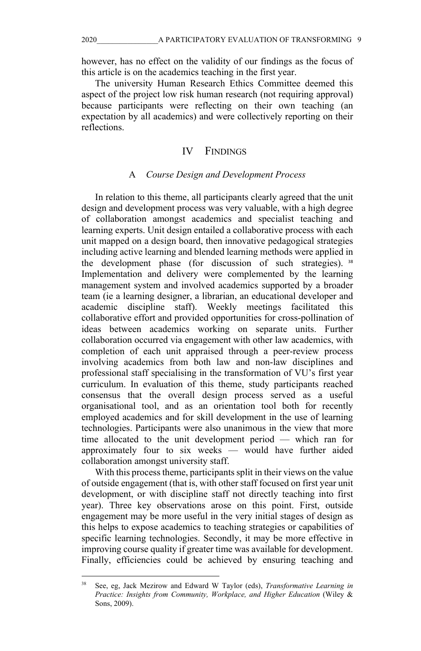however, has no effect on the validity of our findings as the focus of this article is on the academics teaching in the first year.

The university Human Research Ethics Committee deemed this aspect of the project low risk human research (not requiring approval) because participants were reflecting on their own teaching (an expectation by all academics) and were collectively reporting on their reflections.

#### IV FINDINGS

#### A *Course Design and Development Process*

In relation to this theme, all participants clearly agreed that the unit design and development process was very valuable, with a high degree of collaboration amongst academics and specialist teaching and learning experts. Unit design entailed a collaborative process with each unit mapped on a design board, then innovative pedagogical strategies including active learning and blended learning methods were applied in the development phase (for discussion of such strategies). [38](#page-10-0) Implementation and delivery were complemented by the learning management system and involved academics supported by a broader team (ie a learning designer, a librarian, an educational developer and academic discipline staff). Weekly meetings facilitated this collaborative effort and provided opportunities for cross-pollination of ideas between academics working on separate units. Further collaboration occurred via engagement with other law academics, with completion of each unit appraised through a peer-review process involving academics from both law and non-law disciplines and professional staff specialising in the transformation of VU's first year curriculum. In evaluation of this theme, study participants reached consensus that the overall design process served as a useful organisational tool, and as an orientation tool both for recently employed academics and for skill development in the use of learning technologies. Participants were also unanimous in the view that more time allocated to the unit development period — which ran for approximately four to six weeks — would have further aided collaboration amongst university staff.

With this process theme, participants split in their views on the value of outside engagement (that is, with other staff focused on first year unit development, or with discipline staff not directly teaching into first year). Three key observations arose on this point. First, outside engagement may be more useful in the very initial stages of design as this helps to expose academics to teaching strategies or capabilities of specific learning technologies. Secondly, it may be more effective in improving course quality if greater time was available for development. Finally, efficiencies could be achieved by ensuring teaching and

<span id="page-10-0"></span><sup>38</sup> See, eg, Jack Mezirow and Edward W Taylor (eds), *Transformative Learning in Practice: Insights from Community, Workplace, and Higher Education* (Wiley & Sons, 2009).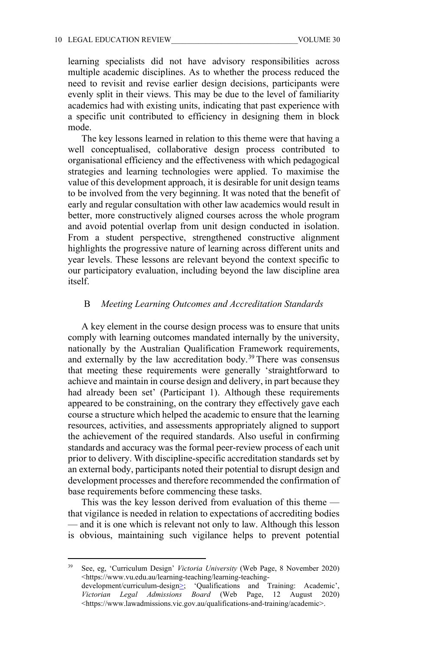learning specialists did not have advisory responsibilities across multiple academic disciplines. As to whether the process reduced the need to revisit and revise earlier design decisions, participants were evenly split in their views. This may be due to the level of familiarity academics had with existing units, indicating that past experience with a specific unit contributed to efficiency in designing them in block mode.

The key lessons learned in relation to this theme were that having a well conceptualised, collaborative design process contributed to organisational efficiency and the effectiveness with which pedagogical strategies and learning technologies were applied. To maximise the value of this development approach, it is desirable for unit design teams to be involved from the very beginning. It was noted that the benefit of early and regular consultation with other law academics would result in better, more constructively aligned courses across the whole program and avoid potential overlap from unit design conducted in isolation. From a student perspective, strengthened constructive alignment highlights the progressive nature of learning across different units and year levels. These lessons are relevant beyond the context specific to our participatory evaluation, including beyond the law discipline area itself.

#### B *Meeting Learning Outcomes and Accreditation Standards*

A key element in the course design process was to ensure that units comply with learning outcomes mandated internally by the university, nationally by the Australian Qualification Framework requirements, and externally by the law accreditation body.<sup>[39](#page-11-0)</sup> There was consensus that meeting these requirements were generally 'straightforward to achieve and maintain in course design and delivery, in part because they had already been set' (Participant 1). Although these requirements appeared to be constraining, on the contrary they effectively gave each course a structure which helped the academic to ensure that the learning resources, activities, and assessments appropriately aligned to support the achievement of the required standards. Also useful in confirming standards and accuracy was the formal peer-review process of each unit prior to delivery. With discipline-specific accreditation standards set by an external body, participants noted their potential to disrupt design and development processes and therefore recommended the confirmation of base requirements before commencing these tasks.

This was the key lesson derived from evaluation of this theme that vigilance is needed in relation to expectations of accrediting bodies — and it is one which is relevant not only to law. Although this lesson is obvious, maintaining such vigilance helps to prevent potential

<span id="page-11-0"></span><sup>39</sup> See, eg, 'Curriculum Design' *Victoria University* (Web Page, 8 November 2020) <https://www.vu.edu.au/learning-teaching/learning-teachingdevelopment/curriculum-design>; 'Qualifications and Training: Academic', *Victorian Legal Admissions Board* (Web Page, 12 August 2020) <https://www.lawadmissions.vic.gov.au/qualifications-and-training/academic>.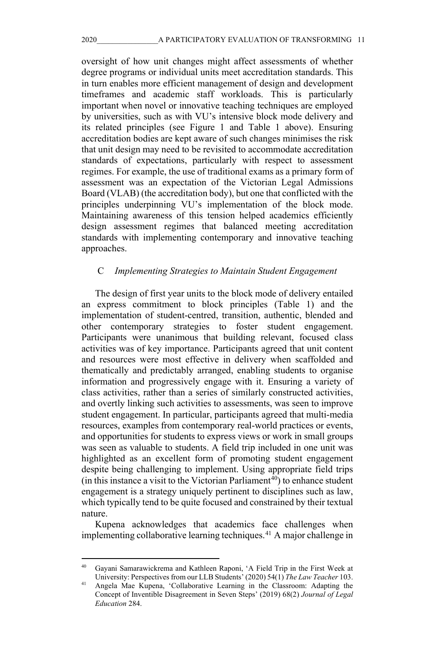oversight of how unit changes might affect assessments of whether degree programs or individual units meet accreditation standards. This in turn enables more efficient management of design and development timeframes and academic staff workloads. This is particularly important when novel or innovative teaching techniques are employed by universities, such as with VU's intensive block mode delivery and its related principles (see Figure 1 and Table 1 above). Ensuring accreditation bodies are kept aware of such changes minimises the risk that unit design may need to be revisited to accommodate accreditation standards of expectations, particularly with respect to assessment regimes. For example, the use of traditional exams as a primary form of assessment was an expectation of the Victorian Legal Admissions Board (VLAB) (the accreditation body), but one that conflicted with the principles underpinning VU's implementation of the block mode. Maintaining awareness of this tension helped academics efficiently design assessment regimes that balanced meeting accreditation standards with implementing contemporary and innovative teaching approaches.

#### C *Implementing Strategies to Maintain Student Engagement*

The design of first year units to the block mode of delivery entailed an express commitment to block principles (Table 1) and the implementation of student-centred, transition, authentic, blended and other contemporary strategies to foster student engagement. Participants were unanimous that building relevant, focused class activities was of key importance. Participants agreed that unit content and resources were most effective in delivery when scaffolded and thematically and predictably arranged, enabling students to organise information and progressively engage with it. Ensuring a variety of class activities, rather than a series of similarly constructed activities, and overtly linking such activities to assessments, was seen to improve student engagement. In particular, participants agreed that multi-media resources, examples from contemporary real-world practices or events, and opportunities for students to express views or work in small groups was seen as valuable to students. A field trip included in one unit was highlighted as an excellent form of promoting student engagement despite being challenging to implement. Using appropriate field trips (in this instance a visit to the Victorian Parliament<sup>40</sup>) to enhance student engagement is a strategy uniquely pertinent to disciplines such as law, which typically tend to be quite focused and constrained by their textual nature.

Kupena acknowledges that academics face challenges when implementing collaborative learning techniques. [41](#page-12-1) A major challenge in

<span id="page-12-0"></span><sup>40</sup> Gayani Samarawickrema and Kathleen Raponi, 'A Field Trip in the First Week at University: Perspectives from our LLB Students' (2020) 54(1) *The Law Teacher* 103.

<span id="page-12-1"></span><sup>41</sup> Angela Mae Kupena, 'Collaborative Learning in the Classroom: Adapting the Concept of Inventible Disagreement in Seven Steps' (2019) 68(2) *Journal of Legal Education* 284.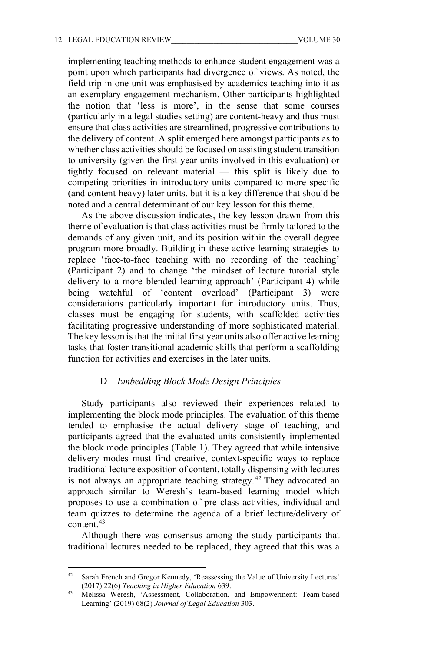implementing teaching methods to enhance student engagement was a point upon which participants had divergence of views. As noted, the field trip in one unit was emphasised by academics teaching into it as an exemplary engagement mechanism. Other participants highlighted the notion that 'less is more', in the sense that some courses (particularly in a legal studies setting) are content-heavy and thus must ensure that class activities are streamlined, progressive contributions to the delivery of content. A split emerged here amongst participants as to whether class activities should be focused on assisting student transition to university (given the first year units involved in this evaluation) or tightly focused on relevant material — this split is likely due to competing priorities in introductory units compared to more specific (and content-heavy) later units, but it is a key difference that should be noted and a central determinant of our key lesson for this theme.

As the above discussion indicates, the key lesson drawn from this theme of evaluation is that class activities must be firmly tailored to the demands of any given unit, and its position within the overall degree program more broadly. Building in these active learning strategies to replace 'face-to-face teaching with no recording of the teaching' (Participant 2) and to change 'the mindset of lecture tutorial style delivery to a more blended learning approach' (Participant 4) while being watchful of 'content overload' (Participant 3) were considerations particularly important for introductory units. Thus, classes must be engaging for students, with scaffolded activities facilitating progressive understanding of more sophisticated material. The key lesson is that the initial first year units also offer active learning tasks that foster transitional academic skills that perform a scaffolding function for activities and exercises in the later units.

#### D *Embedding Block Mode Design Principles*

Study participants also reviewed their experiences related to implementing the block mode principles. The evaluation of this theme tended to emphasise the actual delivery stage of teaching, and participants agreed that the evaluated units consistently implemented the block mode principles (Table 1). They agreed that while intensive delivery modes must find creative, context-specific ways to replace traditional lecture exposition of content, totally dispensing with lectures is not always an appropriate teaching strategy. [42](#page-13-0) They advocated an approach similar to Weresh's team-based learning model which proposes to use a combination of pre class activities, individual and team quizzes to determine the agenda of a brief lecture/delivery of content.[43](#page-13-1)

Although there was consensus among the study participants that traditional lectures needed to be replaced, they agreed that this was a

<span id="page-13-0"></span><sup>&</sup>lt;sup>42</sup> Sarah French and Gregor Kennedy, 'Reassessing the Value of University Lectures' (2017) 22(6) *Teaching in Higher Education* 639.

<span id="page-13-1"></span><sup>43</sup> Melissa Weresh, 'Assessment, Collaboration, and Empowerment: Team-based Learning' (2019) 68(2) *Journal of Legal Education* 303.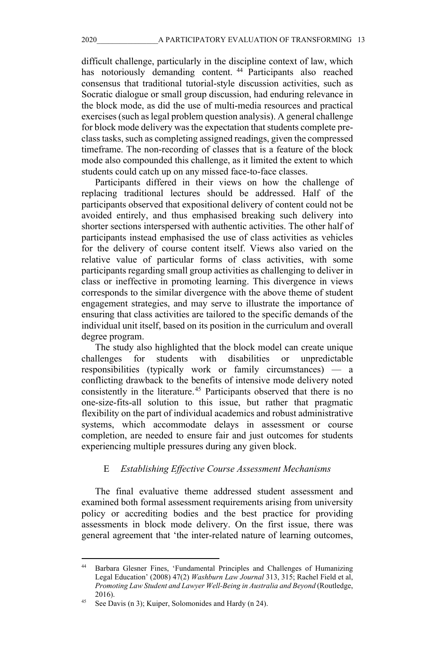difficult challenge, particularly in the discipline context of law, which has notoriously demanding content.<sup>[44](#page-14-0)</sup> Participants also reached consensus that traditional tutorial-style discussion activities, such as Socratic dialogue or small group discussion, had enduring relevance in the block mode, as did the use of multi-media resources and practical exercises (such as legal problem question analysis). A general challenge for block mode delivery was the expectation that students complete preclass tasks, such as completing assigned readings, given the compressed timeframe. The non-recording of classes that is a feature of the block mode also compounded this challenge, as it limited the extent to which students could catch up on any missed face-to-face classes.

Participants differed in their views on how the challenge of replacing traditional lectures should be addressed. Half of the participants observed that expositional delivery of content could not be avoided entirely, and thus emphasised breaking such delivery into shorter sections interspersed with authentic activities. The other half of participants instead emphasised the use of class activities as vehicles for the delivery of course content itself. Views also varied on the relative value of particular forms of class activities, with some participants regarding small group activities as challenging to deliver in class or ineffective in promoting learning. This divergence in views corresponds to the similar divergence with the above theme of student engagement strategies, and may serve to illustrate the importance of ensuring that class activities are tailored to the specific demands of the individual unit itself, based on its position in the curriculum and overall degree program.

The study also highlighted that the block model can create unique challenges for students with disabilities or unpredictable responsibilities (typically work or family circumstances) — a conflicting drawback to the benefits of intensive mode delivery noted consistently in the literature.<sup>[45](#page-14-1)</sup> Participants observed that there is no one-size-fits-all solution to this issue, but rather that pragmatic flexibility on the part of individual academics and robust administrative systems, which accommodate delays in assessment or course completion, are needed to ensure fair and just outcomes for students experiencing multiple pressures during any given block.

#### E *Establishing Effective Course Assessment Mechanisms*

The final evaluative theme addressed student assessment and examined both formal assessment requirements arising from university policy or accrediting bodies and the best practice for providing assessments in block mode delivery. On the first issue, there was general agreement that 'the inter-related nature of learning outcomes,

<span id="page-14-0"></span><sup>44</sup> Barbara Glesner Fines, 'Fundamental Principles and Challenges of Humanizing Legal Education' (2008) 47(2) *Washburn Law Journal* 313, 315; Rachel Field et al, *Promoting Law Student and Lawyer Well-Being in Australia and Beyond* (Routledge, 2016).

<span id="page-14-1"></span>See Davis (n 3); Kuiper, Solomonides and Hardy (n 24).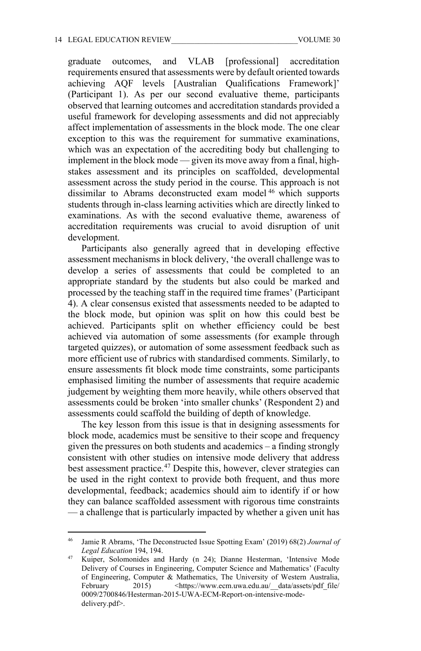graduate outcomes, and VLAB [professional] accreditation requirements ensured that assessments were by default oriented towards achieving AQF levels [Australian Qualifications Framework]' (Participant 1). As per our second evaluative theme, participants observed that learning outcomes and accreditation standards provided a useful framework for developing assessments and did not appreciably affect implementation of assessments in the block mode. The one clear exception to this was the requirement for summative examinations, which was an expectation of the accrediting body but challenging to implement in the block mode — given its move away from a final, highstakes assessment and its principles on scaffolded, developmental assessment across the study period in the course. This approach is not dissimilar to Abrams deconstructed exam model [46](#page-15-0) which supports students through in-class learning activities which are directly linked to examinations. As with the second evaluative theme, awareness of accreditation requirements was crucial to avoid disruption of unit development.

Participants also generally agreed that in developing effective assessment mechanisms in block delivery, 'the overall challenge was to develop a series of assessments that could be completed to an appropriate standard by the students but also could be marked and processed by the teaching staff in the required time frames' (Participant 4). A clear consensus existed that assessments needed to be adapted to the block mode, but opinion was split on how this could best be achieved. Participants split on whether efficiency could be best achieved via automation of some assessments (for example through targeted quizzes), or automation of some assessment feedback such as more efficient use of rubrics with standardised comments. Similarly, to ensure assessments fit block mode time constraints, some participants emphasised limiting the number of assessments that require academic judgement by weighting them more heavily, while others observed that assessments could be broken 'into smaller chunks' (Respondent 2) and assessments could scaffold the building of depth of knowledge.

The key lesson from this issue is that in designing assessments for block mode, academics must be sensitive to their scope and frequency given the pressures on both students and academics – a finding strongly consistent with other studies on intensive mode delivery that address best assessment practice.<sup>[47](#page-15-1)</sup> Despite this, however, clever strategies can be used in the right context to provide both frequent, and thus more developmental, feedback; academics should aim to identify if or how they can balance scaffolded assessment with rigorous time constraints — a challenge that is particularly impacted by whether a given unit has

<span id="page-15-0"></span><sup>46</sup> Jamie R Abrams, 'The Deconstructed Issue Spotting Exam' (2019) 68(2) *Journal of Legal Education* 194, 194.

<span id="page-15-1"></span><sup>47</sup> Kuiper, Solomonides and Hardy (n 24); Dianne Hesterman, 'Intensive Mode Delivery of Courses in Engineering, Computer Science and Mathematics' (Faculty of Engineering, Computer & Mathematics, The University of Western Australia, February 2015) <https://www.ecm.uwa.edu.au/\_data/assets/pdf\_file/ 0009/2700846/Hesterman-2015-UWA-ECM-Report-on-intensive-modedelivery.pdf>.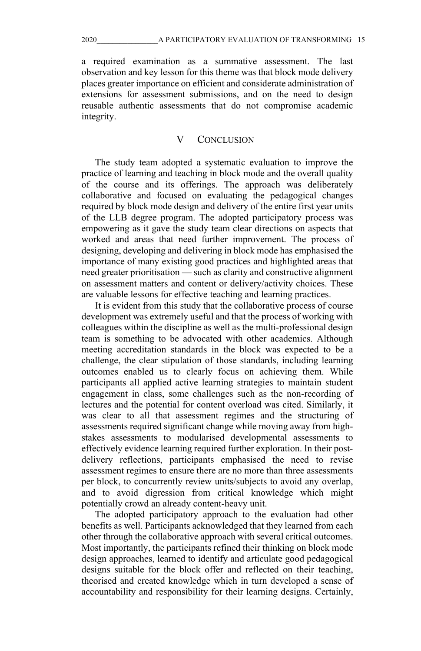a required examination as a summative assessment. The last observation and key lesson for this theme was that block mode delivery places greater importance on efficient and considerate administration of extensions for assessment submissions, and on the need to design reusable authentic assessments that do not compromise academic integrity.

#### V CONCLUSION

The study team adopted a systematic evaluation to improve the practice of learning and teaching in block mode and the overall quality of the course and its offerings. The approach was deliberately collaborative and focused on evaluating the pedagogical changes required by block mode design and delivery of the entire first year units of the LLB degree program. The adopted participatory process was empowering as it gave the study team clear directions on aspects that worked and areas that need further improvement. The process of designing, developing and delivering in block mode has emphasised the importance of many existing good practices and highlighted areas that need greater prioritisation — such as clarity and constructive alignment on assessment matters and content or delivery/activity choices. These are valuable lessons for effective teaching and learning practices.

It is evident from this study that the collaborative process of course development was extremely useful and that the process of working with colleagues within the discipline as well as the multi-professional design team is something to be advocated with other academics. Although meeting accreditation standards in the block was expected to be a challenge, the clear stipulation of those standards, including learning outcomes enabled us to clearly focus on achieving them. While participants all applied active learning strategies to maintain student engagement in class, some challenges such as the non-recording of lectures and the potential for content overload was cited. Similarly, it was clear to all that assessment regimes and the structuring of assessments required significant change while moving away from highstakes assessments to modularised developmental assessments to effectively evidence learning required further exploration. In their postdelivery reflections, participants emphasised the need to revise assessment regimes to ensure there are no more than three assessments per block, to concurrently review units/subjects to avoid any overlap, and to avoid digression from critical knowledge which might potentially crowd an already content-heavy unit.

The adopted participatory approach to the evaluation had other benefits as well. Participants acknowledged that they learned from each other through the collaborative approach with several critical outcomes. Most importantly, the participants refined their thinking on block mode design approaches, learned to identify and articulate good pedagogical designs suitable for the block offer and reflected on their teaching, theorised and created knowledge which in turn developed a sense of accountability and responsibility for their learning designs. Certainly,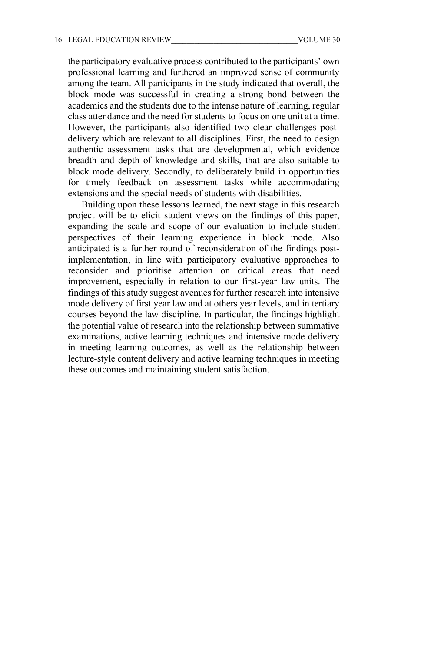the participatory evaluative process contributed to the participants' own professional learning and furthered an improved sense of community among the team. All participants in the study indicated that overall, the block mode was successful in creating a strong bond between the academics and the students due to the intense nature of learning, regular class attendance and the need for students to focus on one unit at a time. However, the participants also identified two clear challenges postdelivery which are relevant to all disciplines. First, the need to design authentic assessment tasks that are developmental, which evidence breadth and depth of knowledge and skills, that are also suitable to block mode delivery. Secondly, to deliberately build in opportunities for timely feedback on assessment tasks while accommodating extensions and the special needs of students with disabilities.

Building upon these lessons learned, the next stage in this research project will be to elicit student views on the findings of this paper, expanding the scale and scope of our evaluation to include student perspectives of their learning experience in block mode. Also anticipated is a further round of reconsideration of the findings postimplementation, in line with participatory evaluative approaches to reconsider and prioritise attention on critical areas that need improvement, especially in relation to our first-year law units. The findings of this study suggest avenues for further research into intensive mode delivery of first year law and at others year levels, and in tertiary courses beyond the law discipline. In particular, the findings highlight the potential value of research into the relationship between summative examinations, active learning techniques and intensive mode delivery in meeting learning outcomes, as well as the relationship between lecture-style content delivery and active learning techniques in meeting these outcomes and maintaining student satisfaction.